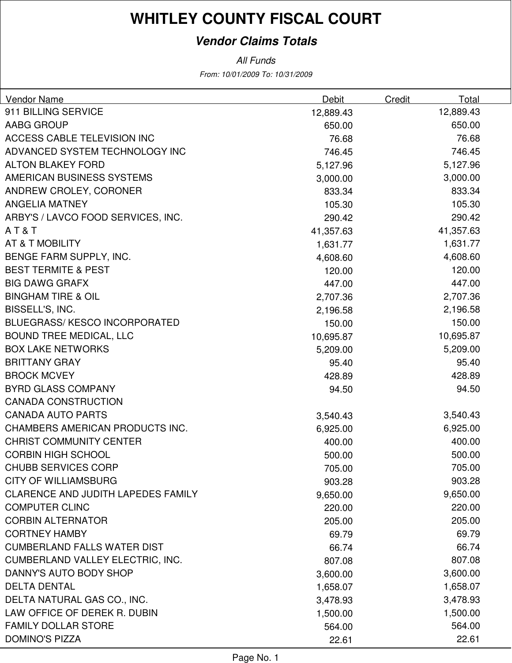### **Vendor Claims Totals**

| Vendor Name                               | Debit     | Total<br>Credit |
|-------------------------------------------|-----------|-----------------|
| 911 BILLING SERVICE                       | 12,889.43 | 12,889.43       |
| AABG GROUP                                | 650.00    | 650.00          |
| ACCESS CABLE TELEVISION INC               | 76.68     | 76.68           |
| ADVANCED SYSTEM TECHNOLOGY INC            | 746.45    | 746.45          |
| <b>ALTON BLAKEY FORD</b>                  | 5,127.96  | 5,127.96        |
| AMERICAN BUSINESS SYSTEMS                 | 3,000.00  | 3,000.00        |
| ANDREW CROLEY, CORONER                    | 833.34    | 833.34          |
| <b>ANGELIA MATNEY</b>                     | 105.30    | 105.30          |
| ARBY'S / LAVCO FOOD SERVICES, INC.        | 290.42    | 290.42          |
| AT&T                                      | 41,357.63 | 41,357.63       |
| <b>AT &amp; T MOBILITY</b>                | 1,631.77  | 1,631.77        |
| BENGE FARM SUPPLY, INC.                   | 4,608.60  | 4,608.60        |
| <b>BEST TERMITE &amp; PEST</b>            | 120.00    | 120.00          |
| <b>BIG DAWG GRAFX</b>                     | 447.00    | 447.00          |
| <b>BINGHAM TIRE &amp; OIL</b>             | 2,707.36  | 2,707.36        |
| BISSELL'S, INC.                           | 2,196.58  | 2,196.58        |
| <b>BLUEGRASS/ KESCO INCORPORATED</b>      | 150.00    | 150.00          |
| <b>BOUND TREE MEDICAL, LLC</b>            | 10,695.87 | 10,695.87       |
| <b>BOX LAKE NETWORKS</b>                  | 5,209.00  | 5,209.00        |
| <b>BRITTANY GRAY</b>                      | 95.40     | 95.40           |
| <b>BROCK MCVEY</b>                        | 428.89    | 428.89          |
| <b>BYRD GLASS COMPANY</b>                 | 94.50     | 94.50           |
| <b>CANADA CONSTRUCTION</b>                |           |                 |
| <b>CANADA AUTO PARTS</b>                  | 3,540.43  | 3,540.43        |
| CHAMBERS AMERICAN PRODUCTS INC.           | 6,925.00  | 6,925.00        |
| <b>CHRIST COMMUNITY CENTER</b>            | 400.00    | 400.00          |
| <b>CORBIN HIGH SCHOOL</b>                 | 500.00    | 500.00          |
| <b>CHUBB SERVICES CORP</b>                | 705.00    | 705.00          |
| <b>CITY OF WILLIAMSBURG</b>               | 903.28    | 903.28          |
| <b>CLARENCE AND JUDITH LAPEDES FAMILY</b> | 9,650.00  | 9,650.00        |
| <b>COMPUTER CLINC</b>                     | 220.00    | 220.00          |
| <b>CORBIN ALTERNATOR</b>                  | 205.00    | 205.00          |
| <b>CORTNEY HAMBY</b>                      | 69.79     | 69.79           |
| <b>CUMBERLAND FALLS WATER DIST</b>        | 66.74     | 66.74           |
| <b>CUMBERLAND VALLEY ELECTRIC, INC.</b>   | 807.08    | 807.08          |
| DANNY'S AUTO BODY SHOP                    | 3,600.00  | 3,600.00        |
| <b>DELTA DENTAL</b>                       | 1,658.07  | 1,658.07        |
| DELTA NATURAL GAS CO., INC.               | 3,478.93  | 3,478.93        |
| LAW OFFICE OF DEREK R. DUBIN              | 1,500.00  | 1,500.00        |
| <b>FAMILY DOLLAR STORE</b>                | 564.00    | 564.00          |
| <b>DOMINO'S PIZZA</b>                     | 22.61     | 22.61           |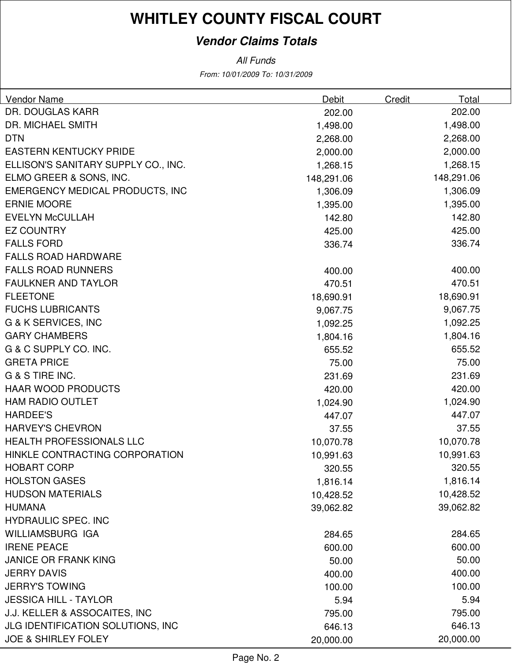### **Vendor Claims Totals**

| Vendor Name                              | <b>Debit</b> | Credit<br>Total |      |
|------------------------------------------|--------------|-----------------|------|
| DR. DOUGLAS KARR                         | 202.00       | 202.00          |      |
| DR. MICHAEL SMITH                        | 1,498.00     | 1,498.00        |      |
| <b>DTN</b>                               | 2,268.00     | 2,268.00        |      |
| <b>EASTERN KENTUCKY PRIDE</b>            | 2,000.00     | 2,000.00        |      |
| ELLISON'S SANITARY SUPPLY CO., INC.      | 1,268.15     | 1,268.15        |      |
| ELMO GREER & SONS, INC.                  | 148,291.06   | 148,291.06      |      |
| <b>EMERGENCY MEDICAL PRODUCTS, INC</b>   | 1,306.09     | 1,306.09        |      |
| <b>ERNIE MOORE</b>                       | 1,395.00     | 1,395.00        |      |
| <b>EVELYN McCULLAH</b>                   | 142.80       | 142.80          |      |
| <b>EZ COUNTRY</b>                        | 425.00       | 425.00          |      |
| <b>FALLS FORD</b>                        | 336.74       | 336.74          |      |
| <b>FALLS ROAD HARDWARE</b>               |              |                 |      |
| <b>FALLS ROAD RUNNERS</b>                | 400.00       | 400.00          |      |
| <b>FAULKNER AND TAYLOR</b>               | 470.51       | 470.51          |      |
| <b>FLEETONE</b>                          | 18,690.91    | 18,690.91       |      |
| <b>FUCHS LUBRICANTS</b>                  | 9,067.75     | 9,067.75        |      |
| <b>G &amp; K SERVICES, INC</b>           | 1,092.25     | 1,092.25        |      |
| <b>GARY CHAMBERS</b>                     | 1,804.16     | 1,804.16        |      |
| G & C SUPPLY CO. INC.                    | 655.52       | 655.52          |      |
| <b>GRETA PRICE</b>                       | 75.00        | 75.00           |      |
| G & S TIRE INC.                          | 231.69       | 231.69          |      |
| <b>HAAR WOOD PRODUCTS</b>                | 420.00       | 420.00          |      |
| <b>HAM RADIO OUTLET</b>                  | 1,024.90     | 1,024.90        |      |
| <b>HARDEE'S</b>                          | 447.07       | 447.07          |      |
| <b>HARVEY'S CHEVRON</b>                  | 37.55        | 37.55           |      |
| <b>HEALTH PROFESSIONALS LLC</b>          | 10,070.78    | 10,070.78       |      |
| HINKLE CONTRACTING CORPORATION           | 10,991.63    | 10,991.63       |      |
| <b>HOBART CORP</b>                       | 320.55       | 320.55          |      |
| <b>HOLSTON GASES</b>                     | 1,816.14     | 1,816.14        |      |
| <b>HUDSON MATERIALS</b>                  | 10,428.52    | 10,428.52       |      |
| <b>HUMANA</b>                            | 39,062.82    | 39,062.82       |      |
| <b>HYDRAULIC SPEC. INC</b>               |              |                 |      |
| WILLIAMSBURG IGA                         | 284.65       | 284.65          |      |
| <b>IRENE PEACE</b>                       | 600.00       | 600.00          |      |
| <b>JANICE OR FRANK KING</b>              | 50.00        | 50.00           |      |
| <b>JERRY DAVIS</b>                       | 400.00       | 400.00          |      |
| <b>JERRY'S TOWING</b>                    | 100.00       | 100.00          |      |
| <b>JESSICA HILL - TAYLOR</b>             | 5.94         |                 | 5.94 |
| J.J. KELLER & ASSOCAITES, INC            | 795.00       | 795.00          |      |
| <b>JLG IDENTIFICATION SOLUTIONS, INC</b> | 646.13       | 646.13          |      |
| <b>JOE &amp; SHIRLEY FOLEY</b>           | 20,000.00    | 20,000.00       |      |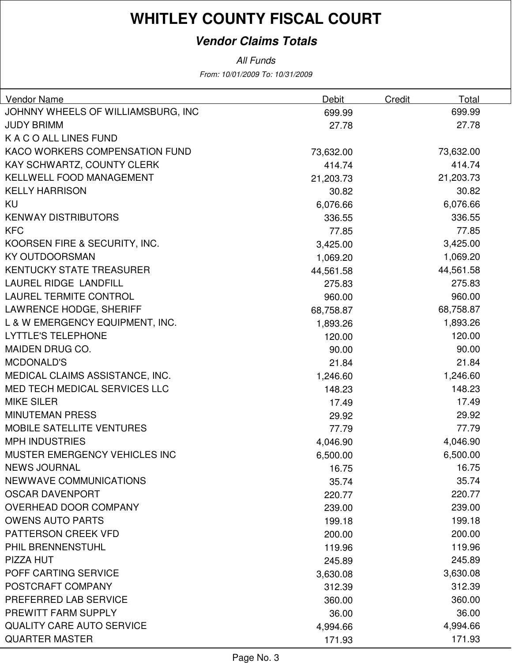### **Vendor Claims Totals**

All Funds

From: 10/01/2009 To: 10/31/2009

| Vendor Name                        | <b>Debit</b> | Total<br><b>Credit</b> |  |
|------------------------------------|--------------|------------------------|--|
| JOHNNY WHEELS OF WILLIAMSBURG, INC | 699.99       | 699.99                 |  |
| <b>JUDY BRIMM</b>                  | 27.78        | 27.78                  |  |
| K A C O ALL LINES FUND             |              |                        |  |
| KACO WORKERS COMPENSATION FUND     | 73,632.00    | 73,632.00              |  |
| KAY SCHWARTZ, COUNTY CLERK         | 414.74       | 414.74                 |  |
| KELLWELL FOOD MANAGEMENT           | 21,203.73    | 21,203.73              |  |
| <b>KELLY HARRISON</b>              | 30.82        | 30.82                  |  |
| <b>KU</b>                          | 6,076.66     | 6,076.66               |  |
| <b>KENWAY DISTRIBUTORS</b>         | 336.55       | 336.55                 |  |
| <b>KFC</b>                         | 77.85        | 77.85                  |  |
| KOORSEN FIRE & SECURITY, INC.      | 3,425.00     | 3,425.00               |  |
| <b>KY OUTDOORSMAN</b>              | 1,069.20     | 1,069.20               |  |
| <b>KENTUCKY STATE TREASURER</b>    | 44,561.58    | 44,561.58              |  |
| LAUREL RIDGE LANDFILL              | 275.83       | 275.83                 |  |
| <b>LAUREL TERMITE CONTROL</b>      | 960.00       | 960.00                 |  |
| LAWRENCE HODGE, SHERIFF            | 68,758.87    | 68,758.87              |  |
| L & W EMERGENCY EQUIPMENT, INC.    | 1,893.26     | 1,893.26               |  |
| <b>LYTTLE'S TELEPHONE</b>          | 120.00       | 120.00                 |  |
| MAIDEN DRUG CO.                    | 90.00        | 90.00                  |  |
| <b>MCDONALD'S</b>                  | 21.84        | 21.84                  |  |
| MEDICAL CLAIMS ASSISTANCE, INC.    | 1,246.60     | 1,246.60               |  |
| MED TECH MEDICAL SERVICES LLC      | 148.23       | 148.23                 |  |
| <b>MIKE SILER</b>                  | 17.49        | 17.49                  |  |
| <b>MINUTEMAN PRESS</b>             | 29.92        | 29.92                  |  |
| <b>MOBILE SATELLITE VENTURES</b>   | 77.79        | 77.79                  |  |
| <b>MPH INDUSTRIES</b>              | 4,046.90     | 4,046.90               |  |
| MUSTER EMERGENCY VEHICLES INC      | 6,500.00     | 6,500.00               |  |
| <b>NEWS JOURNAL</b>                | 16.75        | 16.75                  |  |
| NEWWAVE COMMUNICATIONS             | 35.74        | 35.74                  |  |
| <b>OSCAR DAVENPORT</b>             | 220.77       | 220.77                 |  |
| OVERHEAD DOOR COMPANY              | 239.00       | 239.00                 |  |
| <b>OWENS AUTO PARTS</b>            | 199.18       | 199.18                 |  |
| <b>PATTERSON CREEK VFD</b>         | 200.00       | 200.00                 |  |
| PHIL BRENNENSTUHL                  | 119.96       | 119.96                 |  |
| PIZZA HUT                          | 245.89       | 245.89                 |  |
| POFF CARTING SERVICE               | 3,630.08     | 3,630.08               |  |
| POSTCRAFT COMPANY                  | 312.39       | 312.39                 |  |
| PREFERRED LAB SERVICE              | 360.00       | 360.00                 |  |
| PREWITT FARM SUPPLY                | 36.00        | 36.00                  |  |
| <b>QUALITY CARE AUTO SERVICE</b>   | 4,994.66     | 4,994.66               |  |
| <b>QUARTER MASTER</b>              | 171.93       | 171.93                 |  |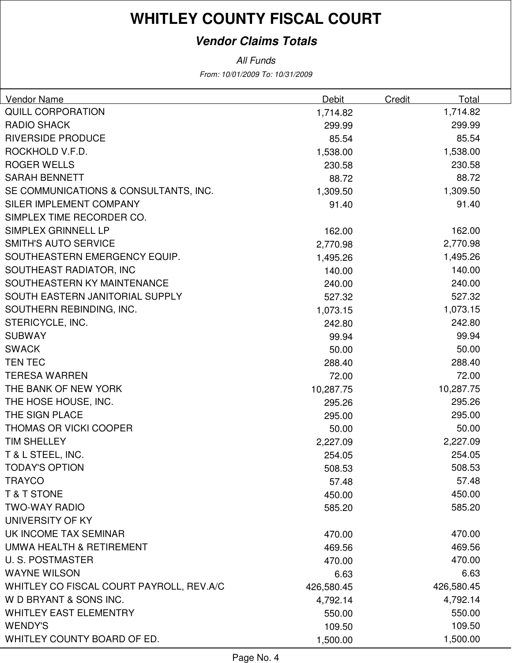### **Vendor Claims Totals**

| <b>Vendor Name</b>                       | Debit      | Credit | Total      |
|------------------------------------------|------------|--------|------------|
| <b>QUILL CORPORATION</b>                 | 1,714.82   |        | 1,714.82   |
| <b>RADIO SHACK</b>                       | 299.99     |        | 299.99     |
| <b>RIVERSIDE PRODUCE</b>                 | 85.54      |        | 85.54      |
| ROCKHOLD V.F.D.                          | 1,538.00   |        | 1,538.00   |
| <b>ROGER WELLS</b>                       | 230.58     |        | 230.58     |
| <b>SARAH BENNETT</b>                     | 88.72      |        | 88.72      |
| SE COMMUNICATIONS & CONSULTANTS, INC.    | 1,309.50   |        | 1,309.50   |
| SILER IMPLEMENT COMPANY                  | 91.40      |        | 91.40      |
| SIMPLEX TIME RECORDER CO.                |            |        |            |
| SIMPLEX GRINNELL LP                      | 162.00     |        | 162.00     |
| <b>SMITH'S AUTO SERVICE</b>              | 2,770.98   |        | 2,770.98   |
| SOUTHEASTERN EMERGENCY EQUIP.            | 1,495.26   |        | 1,495.26   |
| SOUTHEAST RADIATOR, INC                  | 140.00     |        | 140.00     |
| SOUTHEASTERN KY MAINTENANCE              | 240.00     |        | 240.00     |
| SOUTH EASTERN JANITORIAL SUPPLY          | 527.32     |        | 527.32     |
| SOUTHERN REBINDING, INC.                 | 1,073.15   |        | 1,073.15   |
| STERICYCLE, INC.                         | 242.80     |        | 242.80     |
| <b>SUBWAY</b>                            | 99.94      |        | 99.94      |
| <b>SWACK</b>                             | 50.00      |        | 50.00      |
| <b>TEN TEC</b>                           | 288.40     |        | 288.40     |
| <b>TERESA WARREN</b>                     | 72.00      |        | 72.00      |
| THE BANK OF NEW YORK                     | 10,287.75  |        | 10,287.75  |
| THE HOSE HOUSE, INC.                     | 295.26     |        | 295.26     |
| THE SIGN PLACE                           | 295.00     |        | 295.00     |
| <b>THOMAS OR VICKI COOPER</b>            | 50.00      |        | 50.00      |
| <b>TIM SHELLEY</b>                       | 2,227.09   |        | 2,227.09   |
| T & L STEEL, INC.                        | 254.05     |        | 254.05     |
| TODAY'S OPTION                           | 508.53     |        | 508.53     |
| <b>TRAYCO</b>                            | 57.48      |        | 57.48      |
| <b>T&amp;T STONE</b>                     | 450.00     |        | 450.00     |
| <b>TWO-WAY RADIO</b>                     | 585.20     |        | 585.20     |
| UNIVERSITY OF KY                         |            |        |            |
| UK INCOME TAX SEMINAR                    | 470.00     |        | 470.00     |
| UMWA HEALTH & RETIREMENT                 | 469.56     |        | 469.56     |
| <b>U.S. POSTMASTER</b>                   | 470.00     |        | 470.00     |
| <b>WAYNE WILSON</b>                      | 6.63       |        | 6.63       |
| WHITLEY CO FISCAL COURT PAYROLL, REV.A/C | 426,580.45 |        | 426,580.45 |
| W D BRYANT & SONS INC.                   | 4,792.14   |        | 4,792.14   |
| <b>WHITLEY EAST ELEMENTRY</b>            | 550.00     |        | 550.00     |
| <b>WENDY'S</b>                           | 109.50     |        | 109.50     |
| WHITLEY COUNTY BOARD OF ED.              | 1,500.00   |        | 1,500.00   |